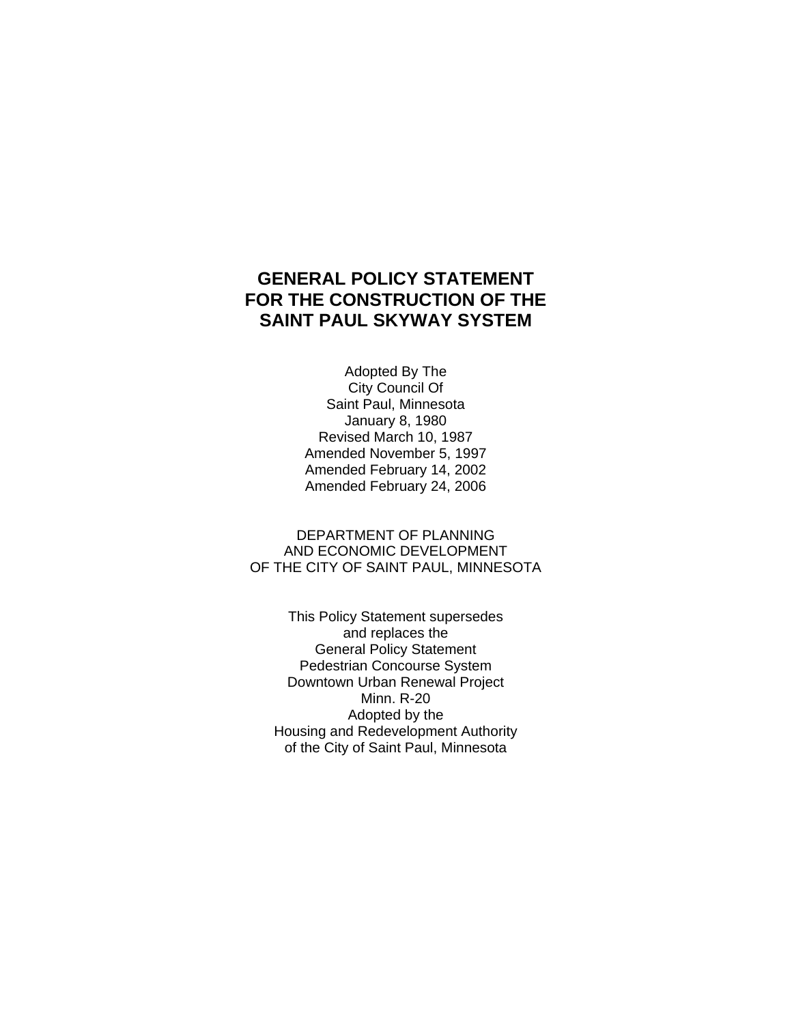# **GENERAL POLICY STATEMENT FOR THE CONSTRUCTION OF THE SAINT PAUL SKYWAY SYSTEM**

 Adopted By The City Council Of Saint Paul, Minnesota January 8, 1980 Revised March 10, 1987 Amended November 5, 1997 Amended February 14, 2002 Amended February 24, 2006

DEPARTMENT OF PLANNING AND ECONOMIC DEVELOPMENT OF THE CITY OF SAINT PAUL, MINNESOTA

This Policy Statement supersedes and replaces the General Policy Statement Pedestrian Concourse System Downtown Urban Renewal Project Minn. R-20 Adopted by the Housing and Redevelopment Authority of the City of Saint Paul, Minnesota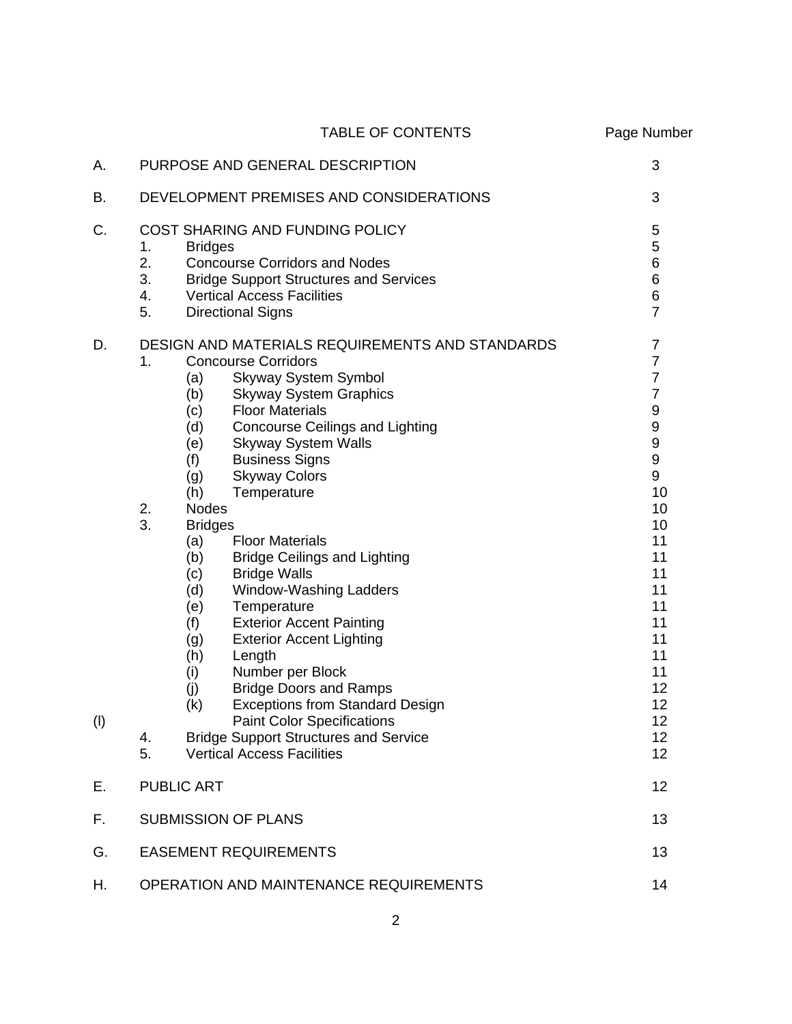|           | <b>TABLE OF CONTENTS</b>                                                                                                                                                                                                                                                                                                                                                                                                                                                                                                                                | Page Number                                                                                                              |
|-----------|---------------------------------------------------------------------------------------------------------------------------------------------------------------------------------------------------------------------------------------------------------------------------------------------------------------------------------------------------------------------------------------------------------------------------------------------------------------------------------------------------------------------------------------------------------|--------------------------------------------------------------------------------------------------------------------------|
| А.        | PURPOSE AND GENERAL DESCRIPTION                                                                                                                                                                                                                                                                                                                                                                                                                                                                                                                         | 3                                                                                                                        |
| В.        | DEVELOPMENT PREMISES AND CONSIDERATIONS                                                                                                                                                                                                                                                                                                                                                                                                                                                                                                                 | 3                                                                                                                        |
| C.        | COST SHARING AND FUNDING POLICY<br>1.<br><b>Bridges</b><br>2.<br><b>Concourse Corridors and Nodes</b><br>3.<br><b>Bridge Support Structures and Services</b><br>4.<br><b>Vertical Access Facilities</b><br>5.<br><b>Directional Signs</b>                                                                                                                                                                                                                                                                                                               | 5<br>5<br>$\,6$<br>$\,6$<br>$\overline{6}$<br>$\overline{7}$                                                             |
| D.<br>(1) | DESIGN AND MATERIALS REQUIREMENTS AND STANDARDS<br><b>Concourse Corridors</b><br>1.<br><b>Skyway System Symbol</b><br>(a)<br><b>Skyway System Graphics</b><br>(b)<br><b>Floor Materials</b><br>(c)<br>(d)<br><b>Concourse Ceilings and Lighting</b><br><b>Skyway System Walls</b><br>(e)<br>(f)<br><b>Business Signs</b><br><b>Skyway Colors</b><br>(g)<br>(h)<br>Temperature<br>2.<br><b>Nodes</b>                                                                                                                                                     | $\overline{7}$<br>$\overline{7}$<br>$\overline{7}$<br>$\overline{7}$<br>9<br>9<br>9<br>$\boldsymbol{9}$<br>9<br>10<br>10 |
|           | 3.<br><b>Bridges</b><br><b>Floor Materials</b><br>(a)<br>(b)<br><b>Bridge Ceilings and Lighting</b><br>(c)<br><b>Bridge Walls</b><br>(d)<br>Window-Washing Ladders<br>(e)<br>Temperature<br><b>Exterior Accent Painting</b><br>(f)<br>(g)<br><b>Exterior Accent Lighting</b><br>(h)<br>Length<br>Number per Block<br>(i)<br><b>Bridge Doors and Ramps</b><br>(j)<br><b>Exceptions from Standard Design</b><br>(k)<br><b>Paint Color Specifications</b><br><b>Bridge Support Structures and Service</b><br>4.<br>5.<br><b>Vertical Access Facilities</b> | 10<br>11<br>11<br>11<br>11<br>11<br>11<br>11<br>11<br>11<br>12<br>12<br>12<br>12<br>12                                   |
| Е.        | <b>PUBLIC ART</b>                                                                                                                                                                                                                                                                                                                                                                                                                                                                                                                                       | 12                                                                                                                       |
| F.        | <b>SUBMISSION OF PLANS</b>                                                                                                                                                                                                                                                                                                                                                                                                                                                                                                                              | 13                                                                                                                       |
| G.        | <b>EASEMENT REQUIREMENTS</b>                                                                                                                                                                                                                                                                                                                                                                                                                                                                                                                            | 13                                                                                                                       |
| Н.        | <b>OPERATION AND MAINTENANCE REQUIREMENTS</b>                                                                                                                                                                                                                                                                                                                                                                                                                                                                                                           | 14                                                                                                                       |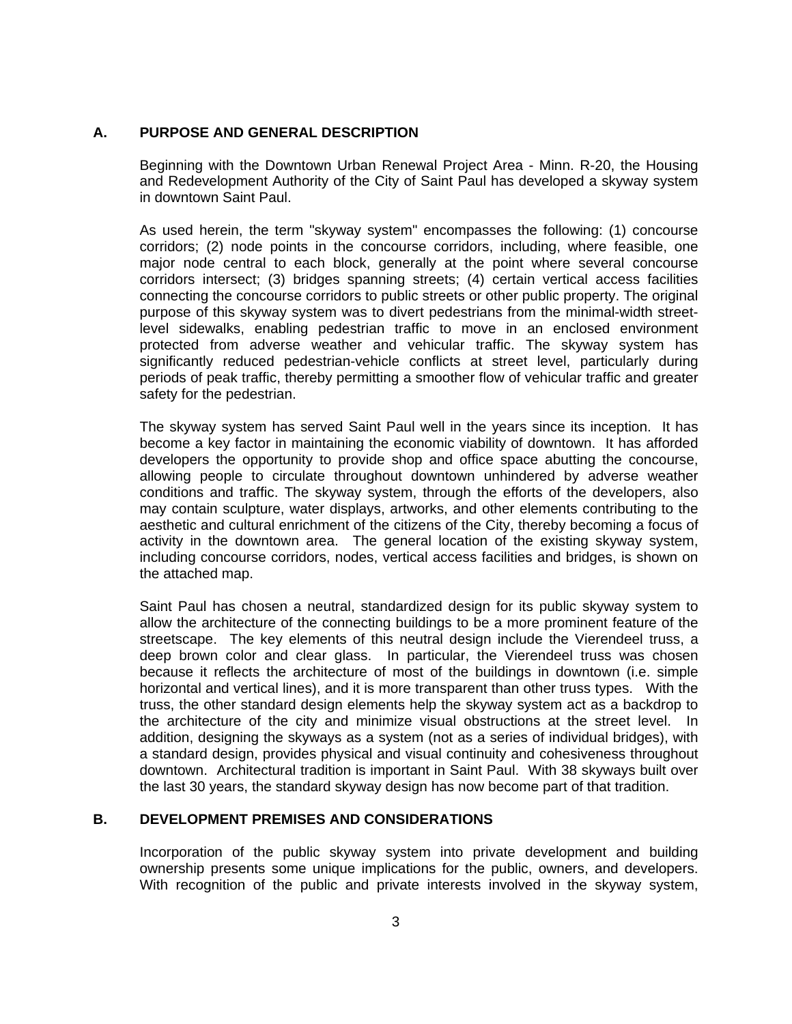# **A. PURPOSE AND GENERAL DESCRIPTION**

Beginning with the Downtown Urban Renewal Project Area - Minn. R-20, the Housing and Redevelopment Authority of the City of Saint Paul has developed a skyway system in downtown Saint Paul.

As used herein, the term "skyway system" encompasses the following: (1) concourse corridors; (2) node points in the concourse corridors, including, where feasible, one major node central to each block, generally at the point where several concourse corridors intersect; (3) bridges spanning streets; (4) certain vertical access facilities connecting the concourse corridors to public streets or other public property. The original purpose of this skyway system was to divert pedestrians from the minimal-width streetlevel sidewalks, enabling pedestrian traffic to move in an enclosed environment protected from adverse weather and vehicular traffic. The skyway system has significantly reduced pedestrian-vehicle conflicts at street level, particularly during periods of peak traffic, thereby permitting a smoother flow of vehicular traffic and greater safety for the pedestrian.

The skyway system has served Saint Paul well in the years since its inception. It has become a key factor in maintaining the economic viability of downtown. It has afforded developers the opportunity to provide shop and office space abutting the concourse, allowing people to circulate throughout downtown unhindered by adverse weather conditions and traffic. The skyway system, through the efforts of the developers, also may contain sculpture, water displays, artworks, and other elements contributing to the aesthetic and cultural enrichment of the citizens of the City, thereby becoming a focus of activity in the downtown area. The general location of the existing skyway system, including concourse corridors, nodes, vertical access facilities and bridges, is shown on the attached map.

Saint Paul has chosen a neutral, standardized design for its public skyway system to allow the architecture of the connecting buildings to be a more prominent feature of the streetscape. The key elements of this neutral design include the Vierendeel truss, a deep brown color and clear glass. In particular, the Vierendeel truss was chosen because it reflects the architecture of most of the buildings in downtown (i.e. simple horizontal and vertical lines), and it is more transparent than other truss types. With the truss, the other standard design elements help the skyway system act as a backdrop to the architecture of the city and minimize visual obstructions at the street level. In addition, designing the skyways as a system (not as a series of individual bridges), with a standard design, provides physical and visual continuity and cohesiveness throughout downtown. Architectural tradition is important in Saint Paul. With 38 skyways built over the last 30 years, the standard skyway design has now become part of that tradition.

## **B. DEVELOPMENT PREMISES AND CONSIDERATIONS**

Incorporation of the public skyway system into private development and building ownership presents some unique implications for the public, owners, and developers. With recognition of the public and private interests involved in the skyway system,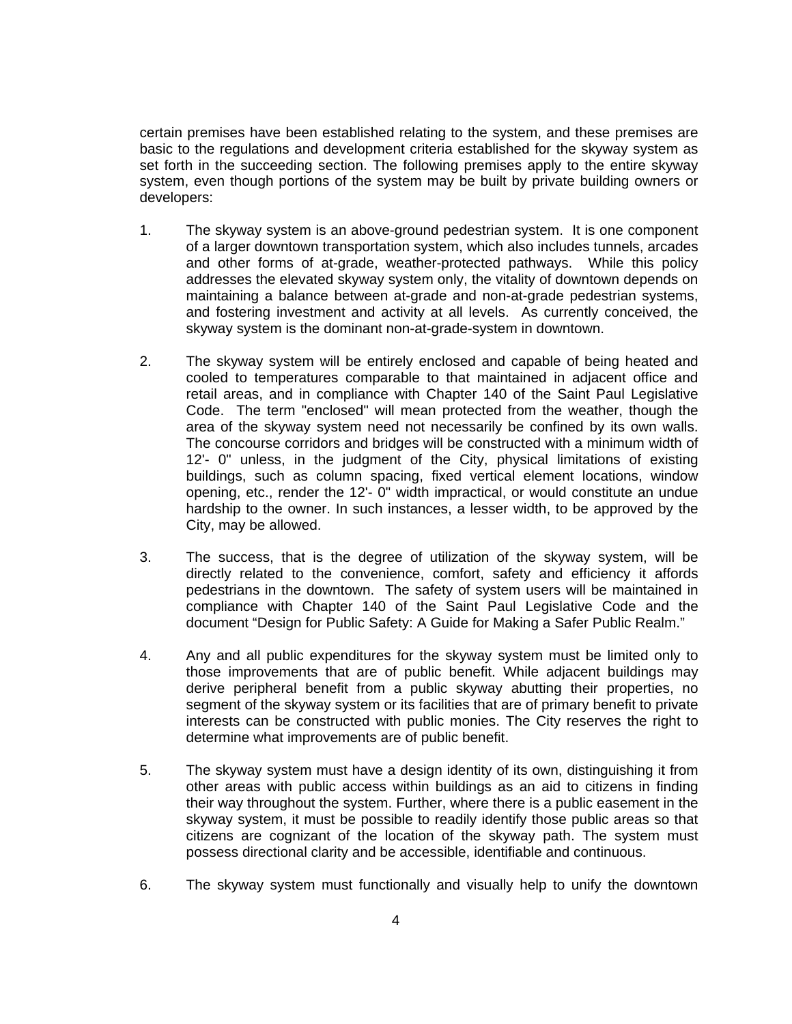certain premises have been established relating to the system, and these premises are basic to the regulations and development criteria established for the skyway system as set forth in the succeeding section. The following premises apply to the entire skyway system, even though portions of the system may be built by private building owners or developers:

- 1. The skyway system is an above-ground pedestrian system. It is one component of a larger downtown transportation system, which also includes tunnels, arcades and other forms of at-grade, weather-protected pathways. While this policy addresses the elevated skyway system only, the vitality of downtown depends on maintaining a balance between at-grade and non-at-grade pedestrian systems, and fostering investment and activity at all levels. As currently conceived, the skyway system is the dominant non-at-grade-system in downtown.
- 2. The skyway system will be entirely enclosed and capable of being heated and cooled to temperatures comparable to that maintained in adjacent office and retail areas, and in compliance with Chapter 140 of the Saint Paul Legislative Code. The term "enclosed" will mean protected from the weather, though the area of the skyway system need not necessarily be confined by its own walls. The concourse corridors and bridges will be constructed with a minimum width of 12'- 0" unless, in the judgment of the City, physical limitations of existing buildings, such as column spacing, fixed vertical element locations, window opening, etc., render the 12'- 0" width impractical, or would constitute an undue hardship to the owner. In such instances, a lesser width, to be approved by the City, may be allowed.
- 3. The success, that is the degree of utilization of the skyway system, will be directly related to the convenience, comfort, safety and efficiency it affords pedestrians in the downtown. The safety of system users will be maintained in compliance with Chapter 140 of the Saint Paul Legislative Code and the document "Design for Public Safety: A Guide for Making a Safer Public Realm."
- 4. Any and all public expenditures for the skyway system must be limited only to those improvements that are of public benefit. While adjacent buildings may derive peripheral benefit from a public skyway abutting their properties, no segment of the skyway system or its facilities that are of primary benefit to private interests can be constructed with public monies. The City reserves the right to determine what improvements are of public benefit.
- 5. The skyway system must have a design identity of its own, distinguishing it from other areas with public access within buildings as an aid to citizens in finding their way throughout the system. Further, where there is a public easement in the skyway system, it must be possible to readily identify those public areas so that citizens are cognizant of the location of the skyway path. The system must possess directional clarity and be accessible, identifiable and continuous.
- 6. The skyway system must functionally and visually help to unify the downtown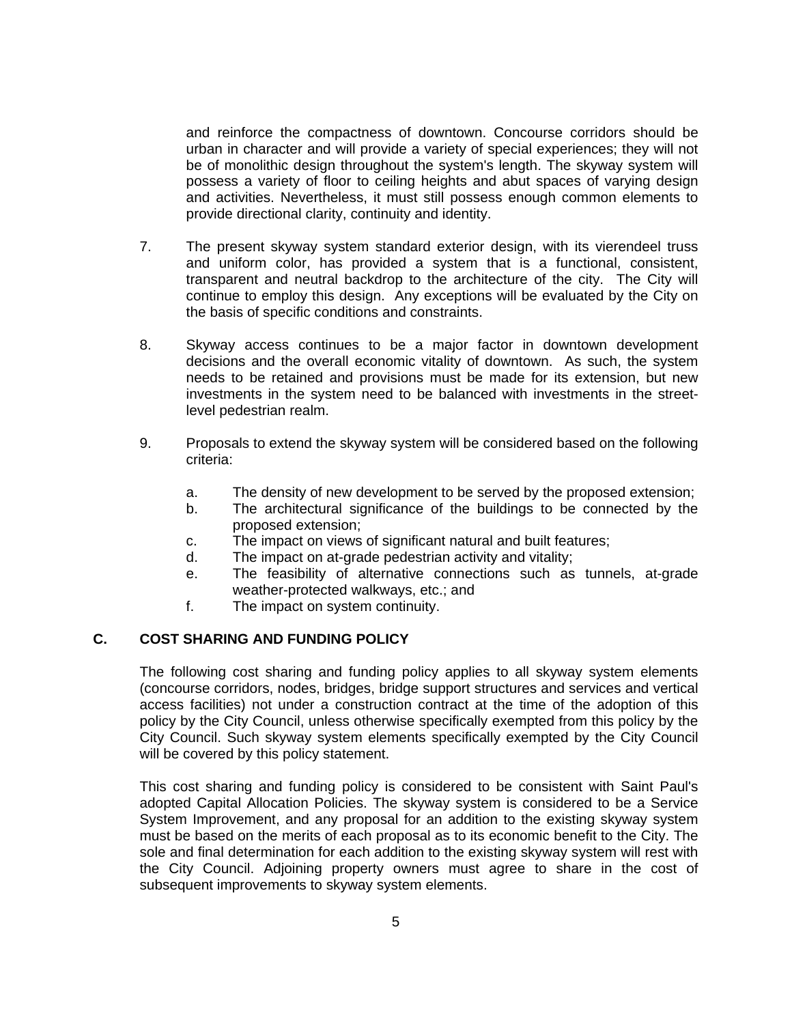and reinforce the compactness of downtown. Concourse corridors should be urban in character and will provide a variety of special experiences; they will not be of monolithic design throughout the system's length. The skyway system will possess a variety of floor to ceiling heights and abut spaces of varying design and activities. Nevertheless, it must still possess enough common elements to provide directional clarity, continuity and identity.

- 7. The present skyway system standard exterior design, with its vierendeel truss and uniform color, has provided a system that is a functional, consistent, transparent and neutral backdrop to the architecture of the city. The City will continue to employ this design. Any exceptions will be evaluated by the City on the basis of specific conditions and constraints.
- 8. Skyway access continues to be a major factor in downtown development decisions and the overall economic vitality of downtown. As such, the system needs to be retained and provisions must be made for its extension, but new investments in the system need to be balanced with investments in the streetlevel pedestrian realm.
- 9. Proposals to extend the skyway system will be considered based on the following criteria:
	- a. The density of new development to be served by the proposed extension;
	- b. The architectural significance of the buildings to be connected by the proposed extension;
	- c. The impact on views of significant natural and built features;
	- d. The impact on at-grade pedestrian activity and vitality;
	- e. The feasibility of alternative connections such as tunnels, at-grade weather-protected walkways, etc.; and
	- f. The impact on system continuity.

## **C. COST SHARING AND FUNDING POLICY**

The following cost sharing and funding policy applies to all skyway system elements (concourse corridors, nodes, bridges, bridge support structures and services and vertical access facilities) not under a construction contract at the time of the adoption of this policy by the City Council, unless otherwise specifically exempted from this policy by the City Council. Such skyway system elements specifically exempted by the City Council will be covered by this policy statement.

This cost sharing and funding policy is considered to be consistent with Saint Paul's adopted Capital Allocation Policies. The skyway system is considered to be a Service System Improvement, and any proposal for an addition to the existing skyway system must be based on the merits of each proposal as to its economic benefit to the City. The sole and final determination for each addition to the existing skyway system will rest with the City Council. Adjoining property owners must agree to share in the cost of subsequent improvements to skyway system elements.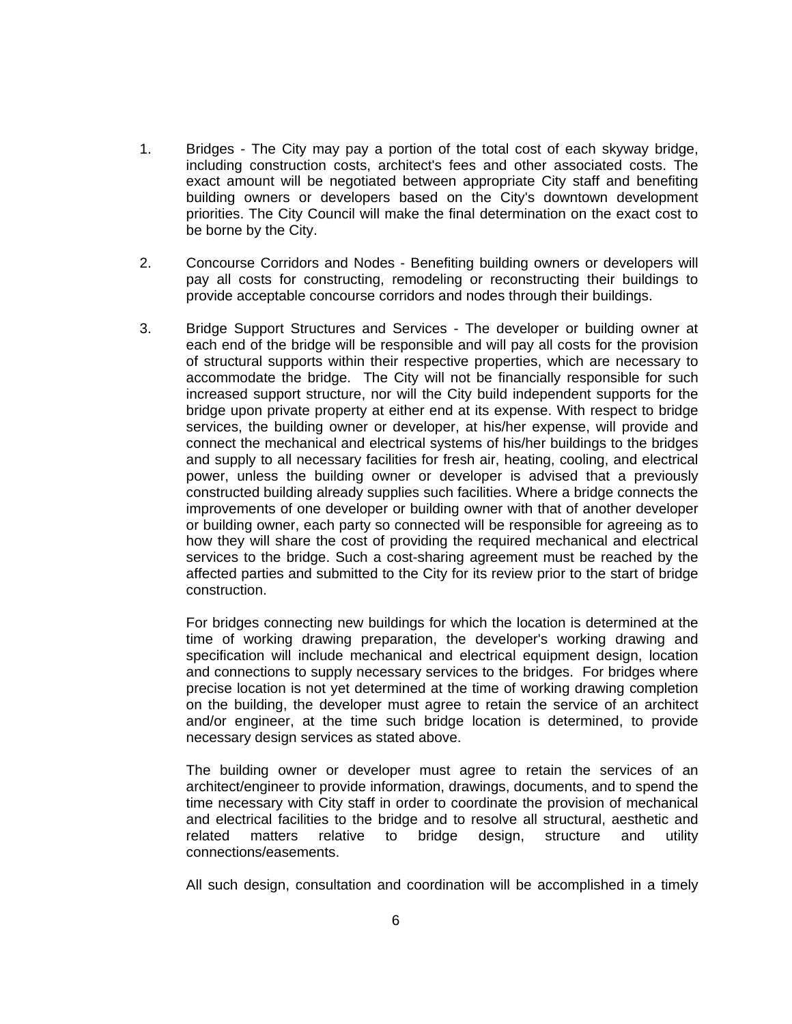- 1. Bridges The City may pay a portion of the total cost of each skyway bridge, including construction costs, architect's fees and other associated costs. The exact amount will be negotiated between appropriate City staff and benefiting building owners or developers based on the City's downtown development priorities. The City Council will make the final determination on the exact cost to be borne by the City.
- 2. Concourse Corridors and Nodes Benefiting building owners or developers will pay all costs for constructing, remodeling or reconstructing their buildings to provide acceptable concourse corridors and nodes through their buildings.
- 3. Bridge Support Structures and Services The developer or building owner at each end of the bridge will be responsible and will pay all costs for the provision of structural supports within their respective properties, which are necessary to accommodate the bridge. The City will not be financially responsible for such increased support structure, nor will the City build independent supports for the bridge upon private property at either end at its expense. With respect to bridge services, the building owner or developer, at his/her expense, will provide and connect the mechanical and electrical systems of his/her buildings to the bridges and supply to all necessary facilities for fresh air, heating, cooling, and electrical power, unless the building owner or developer is advised that a previously constructed building already supplies such facilities. Where a bridge connects the improvements of one developer or building owner with that of another developer or building owner, each party so connected will be responsible for agreeing as to how they will share the cost of providing the required mechanical and electrical services to the bridge. Such a cost-sharing agreement must be reached by the affected parties and submitted to the City for its review prior to the start of bridge construction.

For bridges connecting new buildings for which the location is determined at the time of working drawing preparation, the developer's working drawing and specification will include mechanical and electrical equipment design, location and connections to supply necessary services to the bridges. For bridges where precise location is not yet determined at the time of working drawing completion on the building, the developer must agree to retain the service of an architect and/or engineer, at the time such bridge location is determined, to provide necessary design services as stated above.

The building owner or developer must agree to retain the services of an architect/engineer to provide information, drawings, documents, and to spend the time necessary with City staff in order to coordinate the provision of mechanical and electrical facilities to the bridge and to resolve all structural, aesthetic and related matters relative to bridge design, structure and utility connections/easements.

All such design, consultation and coordination will be accomplished in a timely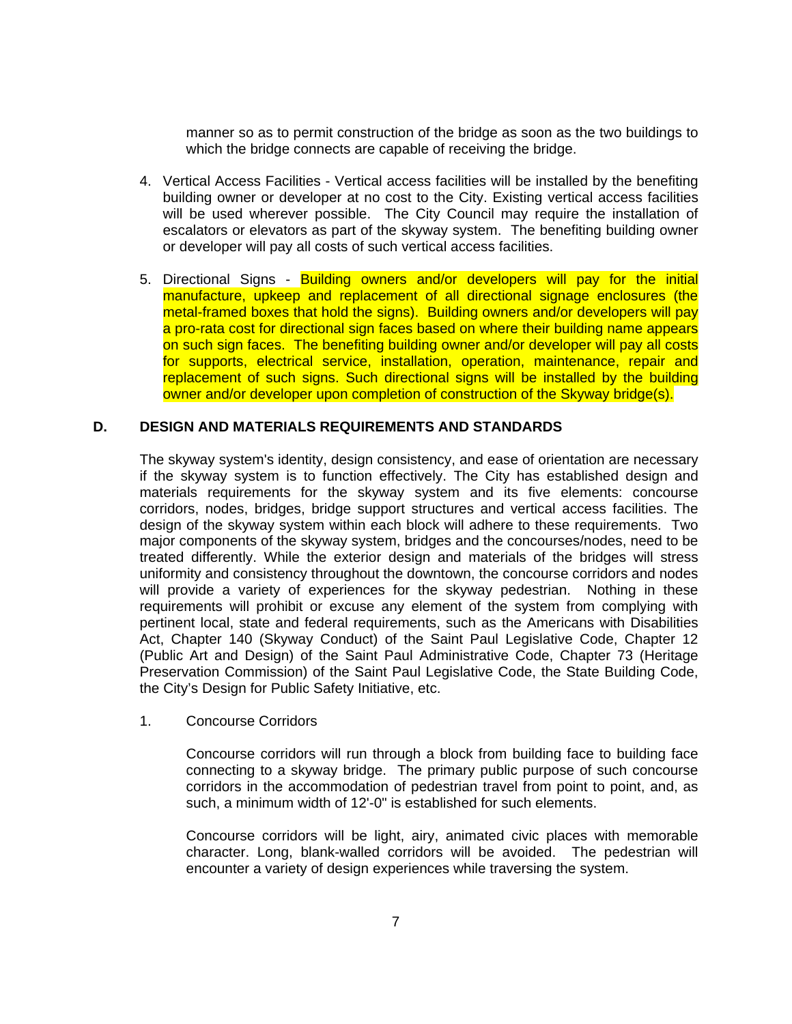manner so as to permit construction of the bridge as soon as the two buildings to which the bridge connects are capable of receiving the bridge.

- 4. Vertical Access Facilities Vertical access facilities will be installed by the benefiting building owner or developer at no cost to the City. Existing vertical access facilities will be used wherever possible. The City Council may require the installation of escalators or elevators as part of the skyway system. The benefiting building owner or developer will pay all costs of such vertical access facilities.
- 5. Directional Signs Building owners and/or developers will pay for the initial manufacture, upkeep and replacement of all directional signage enclosures (the metal-framed boxes that hold the signs). Building owners and/or developers will pay a pro-rata cost for directional sign faces based on where their building name appears on such sign faces. The benefiting building owner and/or developer will pay all costs for supports, electrical service, installation, operation, maintenance, repair and replacement of such signs. Such directional signs will be installed by the building owner and/or developer upon completion of construction of the Skyway bridge(s).

# **D. DESIGN AND MATERIALS REQUIREMENTS AND STANDARDS**

The skyway system's identity, design consistency, and ease of orientation are necessary if the skyway system is to function effectively. The City has established design and materials requirements for the skyway system and its five elements: concourse corridors, nodes, bridges, bridge support structures and vertical access facilities. The design of the skyway system within each block will adhere to these requirements. Two major components of the skyway system, bridges and the concourses/nodes, need to be treated differently. While the exterior design and materials of the bridges will stress uniformity and consistency throughout the downtown, the concourse corridors and nodes will provide a variety of experiences for the skyway pedestrian. Nothing in these requirements will prohibit or excuse any element of the system from complying with pertinent local, state and federal requirements, such as the Americans with Disabilities Act, Chapter 140 (Skyway Conduct) of the Saint Paul Legislative Code, Chapter 12 (Public Art and Design) of the Saint Paul Administrative Code, Chapter 73 (Heritage Preservation Commission) of the Saint Paul Legislative Code, the State Building Code, the City's Design for Public Safety Initiative, etc.

1. Concourse Corridors

Concourse corridors will run through a block from building face to building face connecting to a skyway bridge. The primary public purpose of such concourse corridors in the accommodation of pedestrian travel from point to point, and, as such, a minimum width of 12'-0" is established for such elements.

Concourse corridors will be light, airy, animated civic places with memorable character. Long, blank-walled corridors will be avoided. The pedestrian will encounter a variety of design experiences while traversing the system.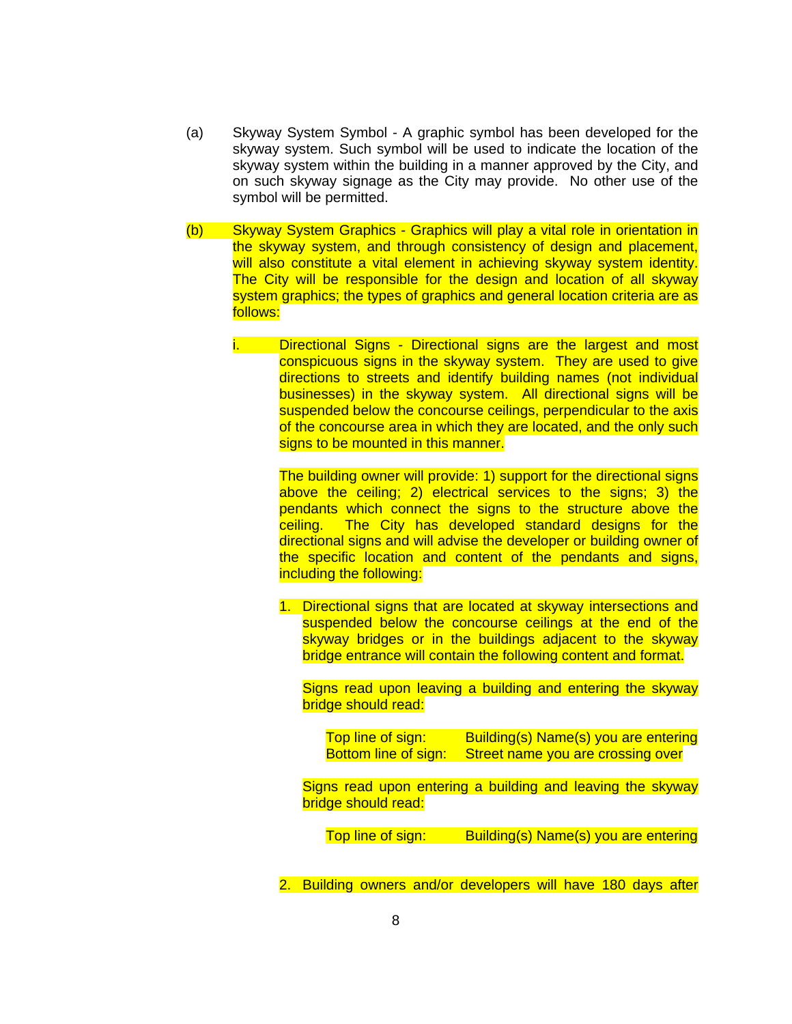- (a) Skyway System Symbol A graphic symbol has been developed for the skyway system. Such symbol will be used to indicate the location of the skyway system within the building in a manner approved by the City, and on such skyway signage as the City may provide. No other use of the symbol will be permitted.
- (b) Skyway System Graphics Graphics will play a vital role in orientation in the skyway system, and through consistency of design and placement, will also constitute a vital element in achieving skyway system identity. The City will be responsible for the design and location of all skyway system graphics; the types of graphics and general location criteria are as follows:
	- i. Directional Signs Directional signs are the largest and most conspicuous signs in the skyway system. They are used to give directions to streets and identify building names (not individual businesses) in the skyway system. All directional signs will be suspended below the concourse ceilings, perpendicular to the axis of the concourse area in which they are located, and the only such signs to be mounted in this manner.

The building owner will provide: 1) support for the directional signs above the ceiling; 2) electrical services to the signs; 3) the pendants which connect the signs to the structure above the ceiling. The City has developed standard designs for the directional signs and will advise the developer or building owner of the specific location and content of the pendants and signs, including the following:

1. Directional signs that are located at skyway intersections and suspended below the concourse ceilings at the end of the skyway bridges or in the buildings adjacent to the skyway bridge entrance will contain the following content and format.

Signs read upon leaving a building and entering the skyway bridge should read:

Top line of sign: Building(s) Name(s) you are entering Bottom line of sign: Street name you are crossing over

Signs read upon entering a building and leaving the skyway bridge should read:

Top line of sign: Building(s) Name(s) you are entering

2. Building owners and/or developers will have 180 days after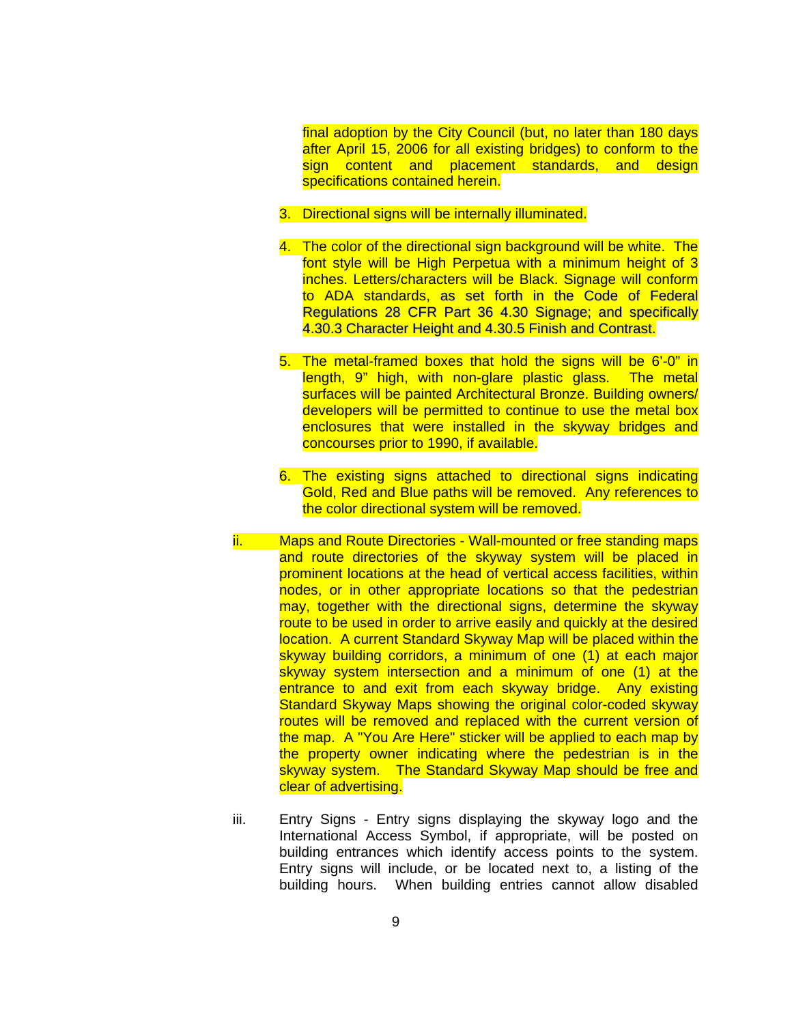final adoption by the City Council (but, no later than 180 days after April 15, 2006 for all existing bridges) to conform to the sign content and placement standards, and design specifications contained herein.

- 3. Directional signs will be internally illuminated.
- 4. The color of the directional sign background will be white. The font style will be High Perpetua with a minimum height of 3 inches. Letters/characters will be Black. Signage will conform to ADA standards, as set forth in the Code of Federal Regulations 28 CFR Part 36 4.30 Signage; and specifically 4.30.3 Character Height and 4.30.5 Finish and Contrast.
- 5. The metal-framed boxes that hold the signs will be 6'-0" in length, 9" high, with non-glare plastic glass. The metal surfaces will be painted Architectural Bronze. Building owners/ developers will be permitted to continue to use the metal box enclosures that were installed in the skyway bridges and concourses prior to 1990, if available.
- 6. The existing signs attached to directional signs indicating Gold, Red and Blue paths will be removed. Any references to the color directional system will be removed.
- ii. Maps and Route Directories Wall-mounted or free standing maps and route directories of the skyway system will be placed in prominent locations at the head of vertical access facilities, within nodes, or in other appropriate locations so that the pedestrian may, together with the directional signs, determine the skyway route to be used in order to arrive easily and quickly at the desired location. A current Standard Skyway Map will be placed within the skyway building corridors, a minimum of one (1) at each major skyway system intersection and a minimum of one (1) at the entrance to and exit from each skyway bridge. Any existing Standard Skyway Maps showing the original color-coded skyway routes will be removed and replaced with the current version of the map. A "You Are Here" sticker will be applied to each map by the property owner indicating where the pedestrian is in the skyway system. The Standard Skyway Map should be free and clear of advertising.
- iii. Entry Signs Entry signs displaying the skyway logo and the International Access Symbol, if appropriate, will be posted on building entrances which identify access points to the system. Entry signs will include, or be located next to, a listing of the building hours. When building entries cannot allow disabled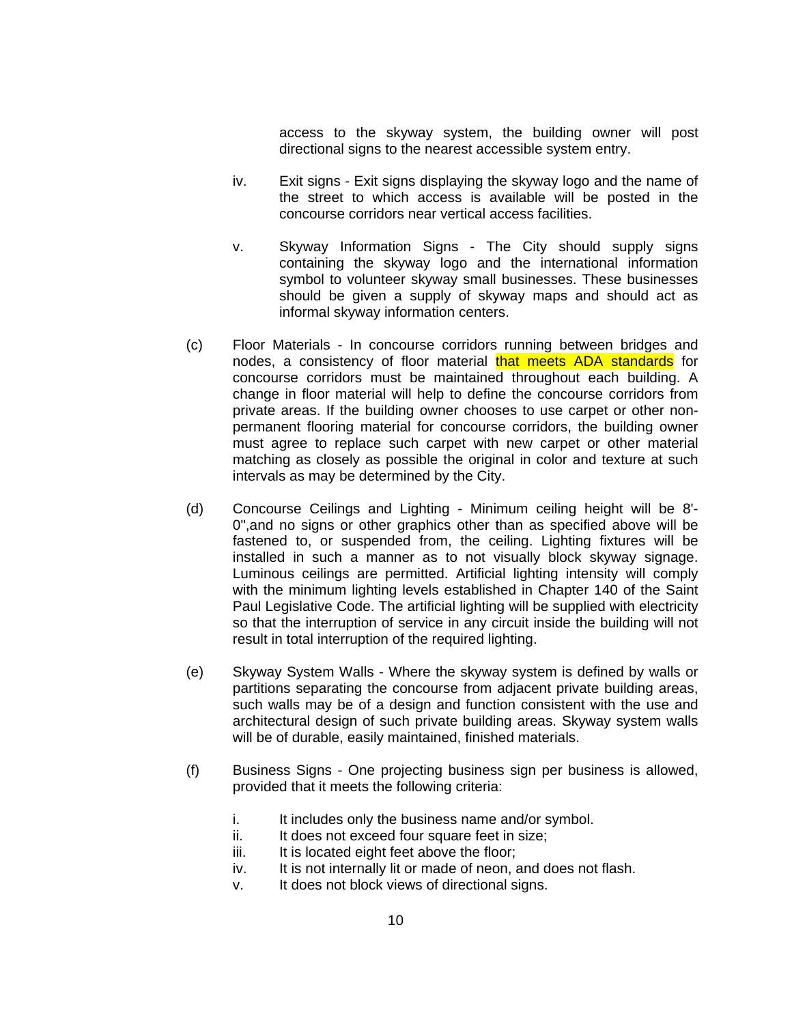access to the skyway system, the building owner will post directional signs to the nearest accessible system entry.

- iv. Exit signs Exit signs displaying the skyway logo and the name of the street to which access is available will be posted in the concourse corridors near vertical access facilities.
- v. Skyway Information Signs The City should supply signs containing the skyway logo and the international information symbol to volunteer skyway small businesses. These businesses should be given a supply of skyway maps and should act as informal skyway information centers.
- (c) Floor Materials In concourse corridors running between bridges and nodes, a consistency of floor material that meets ADA standards for concourse corridors must be maintained throughout each building. A change in floor material will help to define the concourse corridors from private areas. If the building owner chooses to use carpet or other nonpermanent flooring material for concourse corridors, the building owner must agree to replace such carpet with new carpet or other material matching as closely as possible the original in color and texture at such intervals as may be determined by the City.
- (d) Concourse Ceilings and Lighting Minimum ceiling height will be 8'- 0",and no signs or other graphics other than as specified above will be fastened to, or suspended from, the ceiling. Lighting fixtures will be installed in such a manner as to not visually block skyway signage. Luminous ceilings are permitted. Artificial lighting intensity will comply with the minimum lighting levels established in Chapter 140 of the Saint Paul Legislative Code. The artificial lighting will be supplied with electricity so that the interruption of service in any circuit inside the building will not result in total interruption of the required lighting.
- (e) Skyway System Walls Where the skyway system is defined by walls or partitions separating the concourse from adjacent private building areas, such walls may be of a design and function consistent with the use and architectural design of such private building areas. Skyway system walls will be of durable, easily maintained, finished materials.
- (f) Business Signs One projecting business sign per business is allowed, provided that it meets the following criteria:
	- i. It includes only the business name and/or symbol.
	- ii. It does not exceed four square feet in size:
	- iii. It is located eight feet above the floor;
	- iv. It is not internally lit or made of neon, and does not flash.
	- v. It does not block views of directional signs.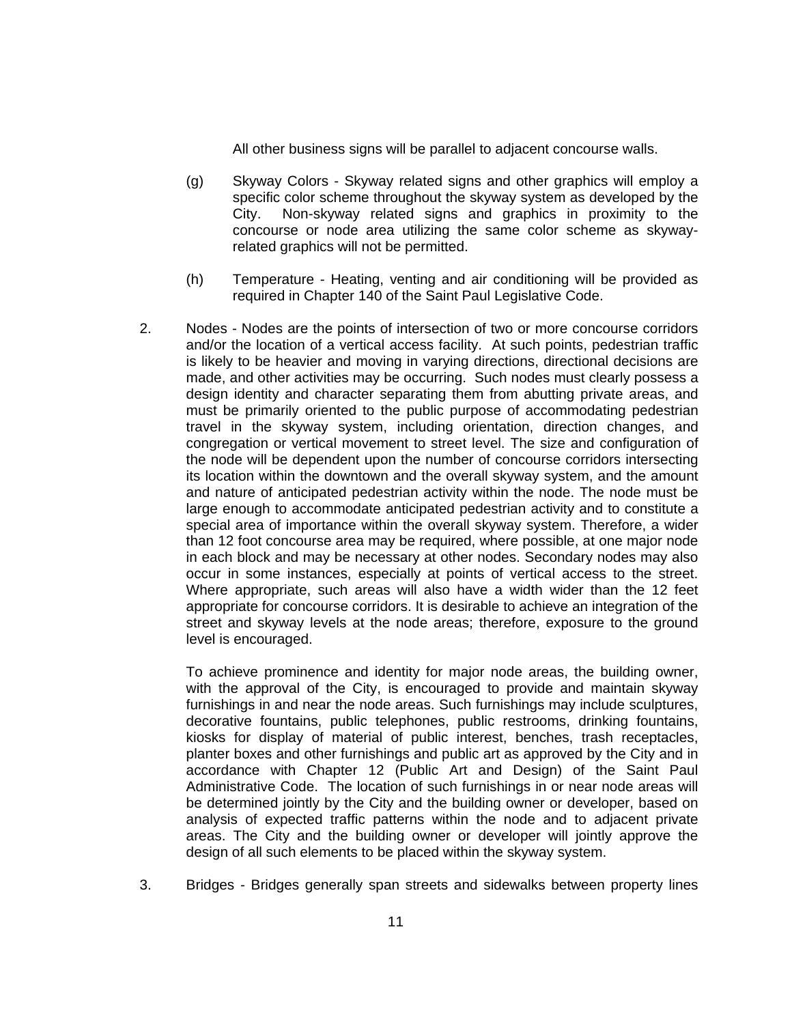All other business signs will be parallel to adjacent concourse walls.

- (g) Skyway Colors Skyway related signs and other graphics will employ a specific color scheme throughout the skyway system as developed by the City. Non-skyway related signs and graphics in proximity to the concourse or node area utilizing the same color scheme as skywayrelated graphics will not be permitted.
- (h) Temperature Heating, venting and air conditioning will be provided as required in Chapter 140 of the Saint Paul Legislative Code.
- 2. Nodes Nodes are the points of intersection of two or more concourse corridors and/or the location of a vertical access facility. At such points, pedestrian traffic is likely to be heavier and moving in varying directions, directional decisions are made, and other activities may be occurring. Such nodes must clearly possess a design identity and character separating them from abutting private areas, and must be primarily oriented to the public purpose of accommodating pedestrian travel in the skyway system, including orientation, direction changes, and congregation or vertical movement to street level. The size and configuration of the node will be dependent upon the number of concourse corridors intersecting its location within the downtown and the overall skyway system, and the amount and nature of anticipated pedestrian activity within the node. The node must be large enough to accommodate anticipated pedestrian activity and to constitute a special area of importance within the overall skyway system. Therefore, a wider than 12 foot concourse area may be required, where possible, at one major node in each block and may be necessary at other nodes. Secondary nodes may also occur in some instances, especially at points of vertical access to the street. Where appropriate, such areas will also have a width wider than the 12 feet appropriate for concourse corridors. It is desirable to achieve an integration of the street and skyway levels at the node areas; therefore, exposure to the ground level is encouraged.

To achieve prominence and identity for major node areas, the building owner, with the approval of the City, is encouraged to provide and maintain skyway furnishings in and near the node areas. Such furnishings may include sculptures, decorative fountains, public telephones, public restrooms, drinking fountains, kiosks for display of material of public interest, benches, trash receptacles, planter boxes and other furnishings and public art as approved by the City and in accordance with Chapter 12 (Public Art and Design) of the Saint Paul Administrative Code. The location of such furnishings in or near node areas will be determined jointly by the City and the building owner or developer, based on analysis of expected traffic patterns within the node and to adjacent private areas. The City and the building owner or developer will jointly approve the design of all such elements to be placed within the skyway system.

3. Bridges - Bridges generally span streets and sidewalks between property lines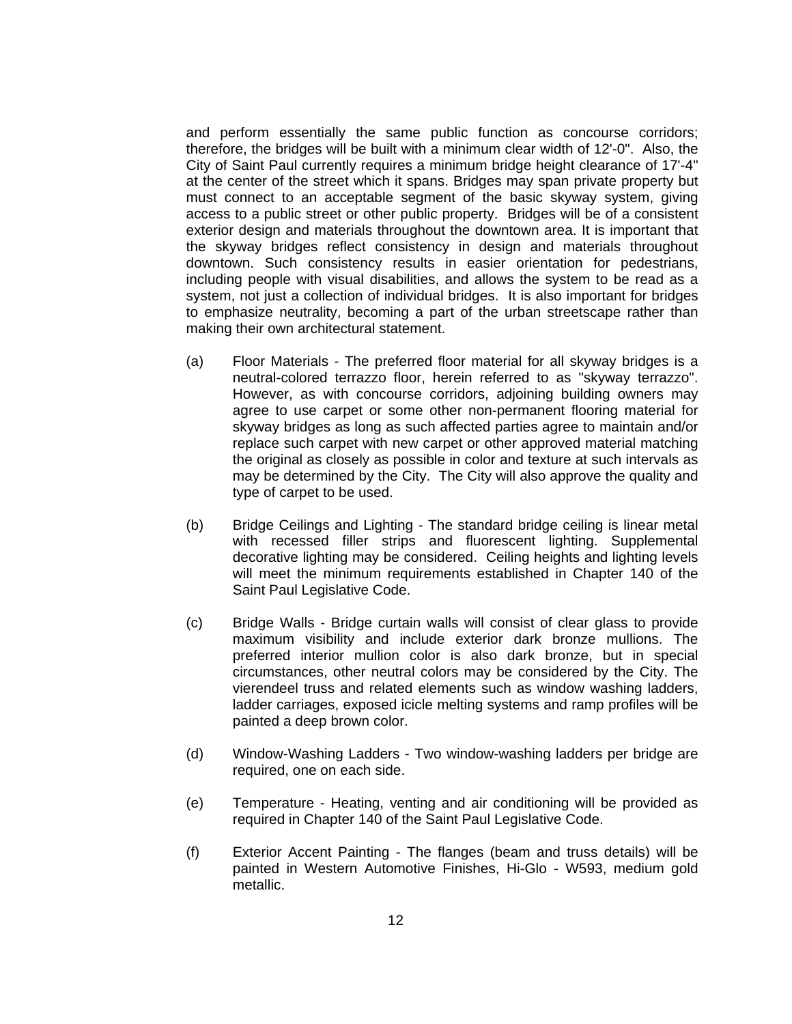and perform essentially the same public function as concourse corridors; therefore, the bridges will be built with a minimum clear width of 12'-0". Also, the City of Saint Paul currently requires a minimum bridge height clearance of 17'-4" at the center of the street which it spans. Bridges may span private property but must connect to an acceptable segment of the basic skyway system, giving access to a public street or other public property. Bridges will be of a consistent exterior design and materials throughout the downtown area. It is important that the skyway bridges reflect consistency in design and materials throughout downtown. Such consistency results in easier orientation for pedestrians, including people with visual disabilities, and allows the system to be read as a system, not just a collection of individual bridges. It is also important for bridges to emphasize neutrality, becoming a part of the urban streetscape rather than making their own architectural statement.

- (a) Floor Materials The preferred floor material for all skyway bridges is a neutral-colored terrazzo floor, herein referred to as "skyway terrazzo". However, as with concourse corridors, adjoining building owners may agree to use carpet or some other non-permanent flooring material for skyway bridges as long as such affected parties agree to maintain and/or replace such carpet with new carpet or other approved material matching the original as closely as possible in color and texture at such intervals as may be determined by the City. The City will also approve the quality and type of carpet to be used.
- (b) Bridge Ceilings and Lighting The standard bridge ceiling is linear metal with recessed filler strips and fluorescent lighting. Supplemental decorative lighting may be considered. Ceiling heights and lighting levels will meet the minimum requirements established in Chapter 140 of the Saint Paul Legislative Code.
- (c) Bridge Walls Bridge curtain walls will consist of clear glass to provide maximum visibility and include exterior dark bronze mullions. The preferred interior mullion color is also dark bronze, but in special circumstances, other neutral colors may be considered by the City. The vierendeel truss and related elements such as window washing ladders, ladder carriages, exposed icicle melting systems and ramp profiles will be painted a deep brown color.
- (d) Window-Washing Ladders Two window-washing ladders per bridge are required, one on each side.
- (e) Temperature Heating, venting and air conditioning will be provided as required in Chapter 140 of the Saint Paul Legislative Code.
- (f) Exterior Accent Painting The flanges (beam and truss details) will be painted in Western Automotive Finishes, Hi-Glo - W593, medium gold metallic.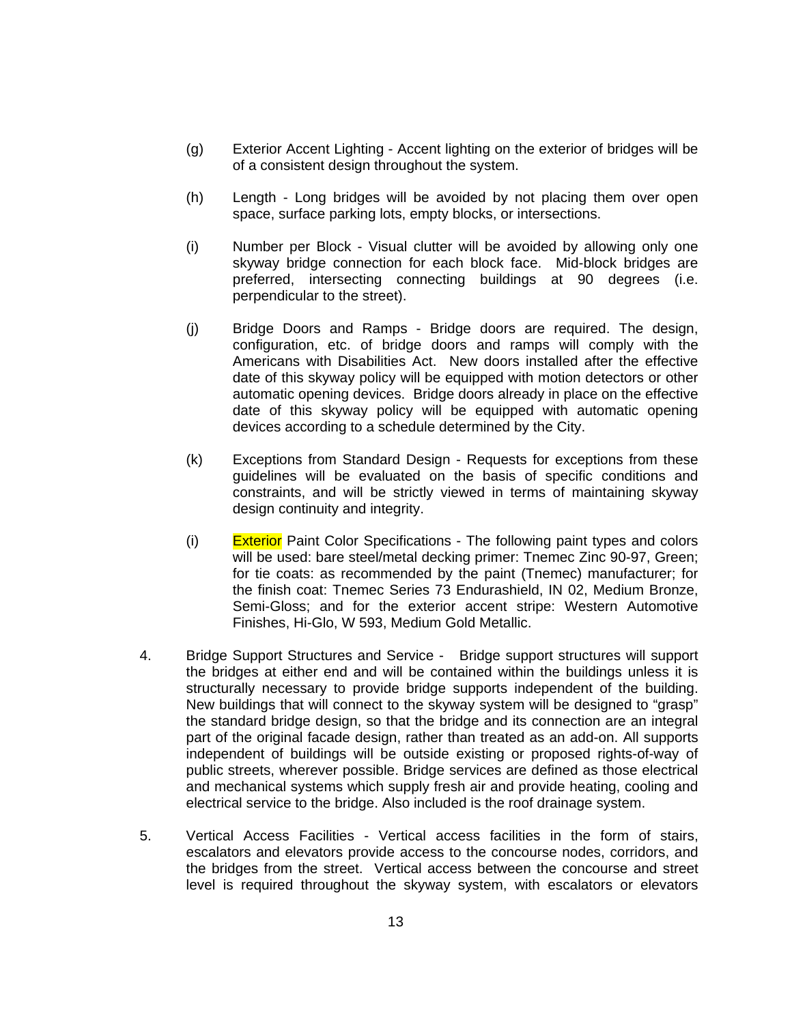- (g) Exterior Accent Lighting Accent lighting on the exterior of bridges will be of a consistent design throughout the system.
- (h) Length Long bridges will be avoided by not placing them over open space, surface parking lots, empty blocks, or intersections.
- (i) Number per Block Visual clutter will be avoided by allowing only one skyway bridge connection for each block face. Mid-block bridges are preferred, intersecting connecting buildings at 90 degrees (i.e. perpendicular to the street).
- (j) Bridge Doors and Ramps Bridge doors are required. The design, configuration, etc. of bridge doors and ramps will comply with the Americans with Disabilities Act. New doors installed after the effective date of this skyway policy will be equipped with motion detectors or other automatic opening devices. Bridge doors already in place on the effective date of this skyway policy will be equipped with automatic opening devices according to a schedule determined by the City.
- (k) Exceptions from Standard Design Requests for exceptions from these guidelines will be evaluated on the basis of specific conditions and constraints, and will be strictly viewed in terms of maintaining skyway design continuity and integrity.
- $(i)$  Exterior Paint Color Specifications The following paint types and colors will be used: bare steel/metal decking primer: Tnemec Zinc 90-97, Green; for tie coats: as recommended by the paint (Tnemec) manufacturer; for the finish coat: Tnemec Series 73 Endurashield, IN 02, Medium Bronze, Semi-Gloss; and for the exterior accent stripe: Western Automotive Finishes, Hi-Glo, W 593, Medium Gold Metallic.
- 4. Bridge Support Structures and Service Bridge support structures will support the bridges at either end and will be contained within the buildings unless it is structurally necessary to provide bridge supports independent of the building. New buildings that will connect to the skyway system will be designed to "grasp" the standard bridge design, so that the bridge and its connection are an integral part of the original facade design, rather than treated as an add-on. All supports independent of buildings will be outside existing or proposed rights-of-way of public streets, wherever possible. Bridge services are defined as those electrical and mechanical systems which supply fresh air and provide heating, cooling and electrical service to the bridge. Also included is the roof drainage system.
- 5. Vertical Access Facilities Vertical access facilities in the form of stairs, escalators and elevators provide access to the concourse nodes, corridors, and the bridges from the street. Vertical access between the concourse and street level is required throughout the skyway system, with escalators or elevators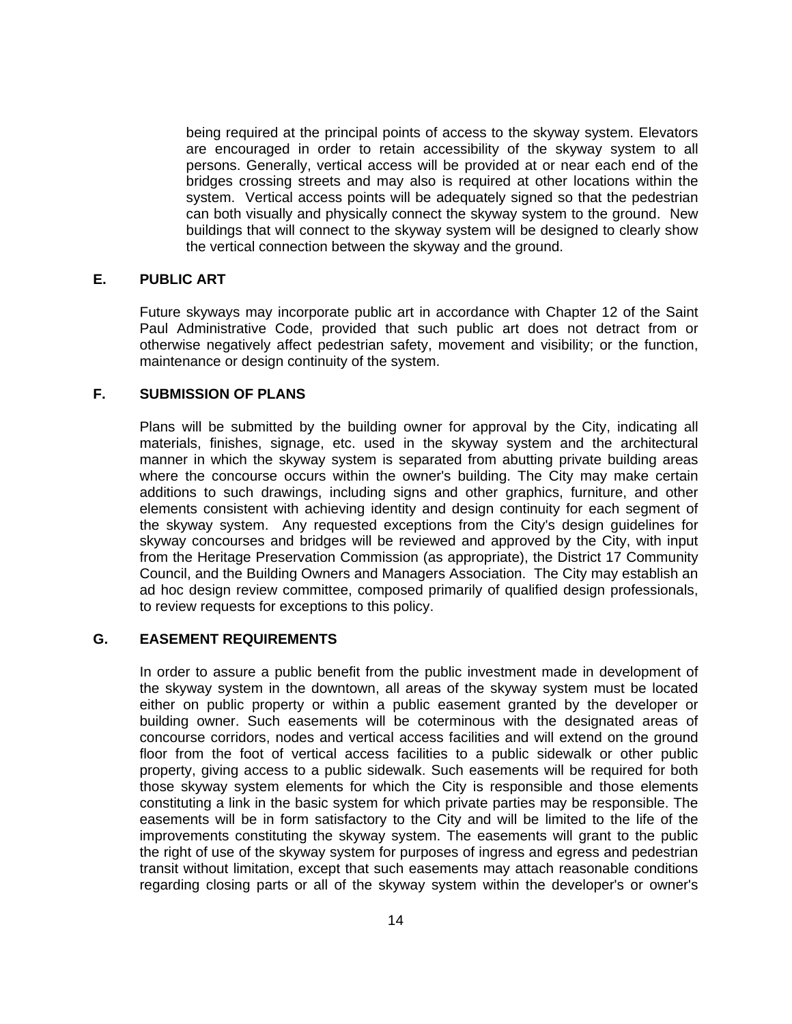being required at the principal points of access to the skyway system. Elevators are encouraged in order to retain accessibility of the skyway system to all persons. Generally, vertical access will be provided at or near each end of the bridges crossing streets and may also is required at other locations within the system. Vertical access points will be adequately signed so that the pedestrian can both visually and physically connect the skyway system to the ground. New buildings that will connect to the skyway system will be designed to clearly show the vertical connection between the skyway and the ground.

## **E. PUBLIC ART**

Future skyways may incorporate public art in accordance with Chapter 12 of the Saint Paul Administrative Code, provided that such public art does not detract from or otherwise negatively affect pedestrian safety, movement and visibility; or the function, maintenance or design continuity of the system.

# **F. SUBMISSION OF PLANS**

Plans will be submitted by the building owner for approval by the City, indicating all materials, finishes, signage, etc. used in the skyway system and the architectural manner in which the skyway system is separated from abutting private building areas where the concourse occurs within the owner's building. The City may make certain additions to such drawings, including signs and other graphics, furniture, and other elements consistent with achieving identity and design continuity for each segment of the skyway system. Any requested exceptions from the City's design guidelines for skyway concourses and bridges will be reviewed and approved by the City, with input from the Heritage Preservation Commission (as appropriate), the District 17 Community Council, and the Building Owners and Managers Association. The City may establish an ad hoc design review committee, composed primarily of qualified design professionals, to review requests for exceptions to this policy.

## **G. EASEMENT REQUIREMENTS**

In order to assure a public benefit from the public investment made in development of the skyway system in the downtown, all areas of the skyway system must be located either on public property or within a public easement granted by the developer or building owner. Such easements will be coterminous with the designated areas of concourse corridors, nodes and vertical access facilities and will extend on the ground floor from the foot of vertical access facilities to a public sidewalk or other public property, giving access to a public sidewalk. Such easements will be required for both those skyway system elements for which the City is responsible and those elements constituting a link in the basic system for which private parties may be responsible. The easements will be in form satisfactory to the City and will be limited to the life of the improvements constituting the skyway system. The easements will grant to the public the right of use of the skyway system for purposes of ingress and egress and pedestrian transit without limitation, except that such easements may attach reasonable conditions regarding closing parts or all of the skyway system within the developer's or owner's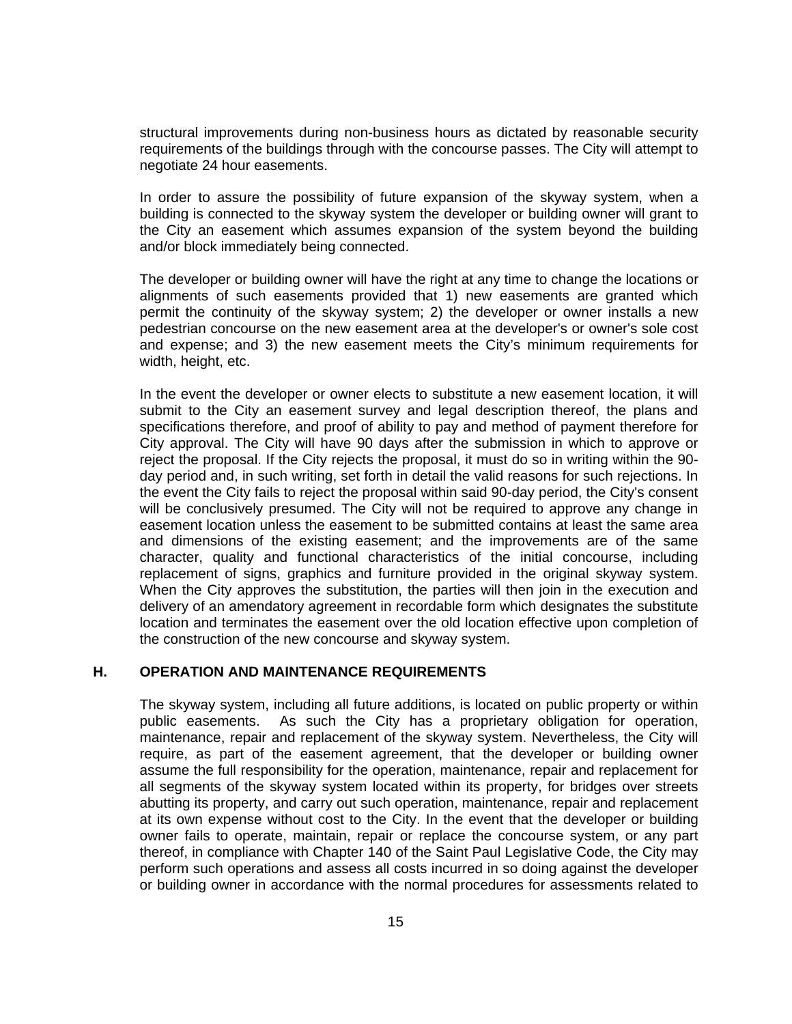structural improvements during non-business hours as dictated by reasonable security requirements of the buildings through with the concourse passes. The City will attempt to negotiate 24 hour easements.

In order to assure the possibility of future expansion of the skyway system, when a building is connected to the skyway system the developer or building owner will grant to the City an easement which assumes expansion of the system beyond the building and/or block immediately being connected.

The developer or building owner will have the right at any time to change the locations or alignments of such easements provided that 1) new easements are granted which permit the continuity of the skyway system; 2) the developer or owner installs a new pedestrian concourse on the new easement area at the developer's or owner's sole cost and expense; and 3) the new easement meets the City's minimum requirements for width, height, etc.

In the event the developer or owner elects to substitute a new easement location, it will submit to the City an easement survey and legal description thereof, the plans and specifications therefore, and proof of ability to pay and method of payment therefore for City approval. The City will have 90 days after the submission in which to approve or reject the proposal. If the City rejects the proposal, it must do so in writing within the 90 day period and, in such writing, set forth in detail the valid reasons for such rejections. In the event the City fails to reject the proposal within said 90-day period, the City's consent will be conclusively presumed. The City will not be required to approve any change in easement location unless the easement to be submitted contains at least the same area and dimensions of the existing easement; and the improvements are of the same character, quality and functional characteristics of the initial concourse, including replacement of signs, graphics and furniture provided in the original skyway system. When the City approves the substitution, the parties will then join in the execution and delivery of an amendatory agreement in recordable form which designates the substitute location and terminates the easement over the old location effective upon completion of the construction of the new concourse and skyway system.

#### **H. OPERATION AND MAINTENANCE REQUIREMENTS**

The skyway system, including all future additions, is located on public property or within public easements. As such the City has a proprietary obligation for operation, maintenance, repair and replacement of the skyway system. Nevertheless, the City will require, as part of the easement agreement, that the developer or building owner assume the full responsibility for the operation, maintenance, repair and replacement for all segments of the skyway system located within its property, for bridges over streets abutting its property, and carry out such operation, maintenance, repair and replacement at its own expense without cost to the City. In the event that the developer or building owner fails to operate, maintain, repair or replace the concourse system, or any part thereof, in compliance with Chapter 140 of the Saint Paul Legislative Code, the City may perform such operations and assess all costs incurred in so doing against the developer or building owner in accordance with the normal procedures for assessments related to